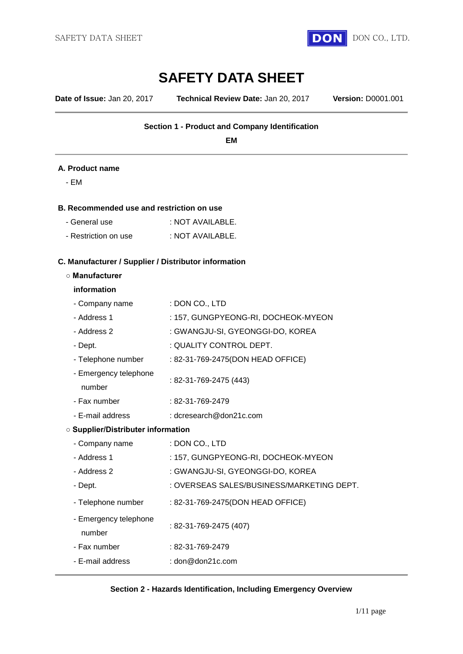

**Date of Issue:** Jan 20, 2017 **Technical Review Date:** Jan 20, 2017 **Version:** D0001.001

#### **Section 1 - Product and Company Identification**

**EM**

#### **A. Product name**

- EM

#### **B. Recommended use and restriction on use**

| - General use        | : NOT AVAILABLE. |
|----------------------|------------------|
| - Restriction on use | : NOT AVAILABLE. |

# **C. Manufacturer / Supplier / Distributor information**

#### **○ Manufacturer**

#### **information**

| - Company name                            | : DON CO., LTD                            |
|-------------------------------------------|-------------------------------------------|
| - Address 1                               | : 157, GUNGPYEONG-RI, DOCHEOK-MYEON       |
| - Address 2                               | : GWANGJU-SI, GYEONGGI-DO, KOREA          |
| - Dept.                                   | : QUALITY CONTROL DEPT.                   |
| - Telephone number                        | : 82-31-769-2475(DON HEAD OFFICE)         |
| - Emergency telephone<br>number           | : 82-31-769-2475 (443)                    |
| - Fax number                              | : 82-31-769-2479                          |
| - E-mail address                          | : dcresearch@don21c.com                   |
| <b>O Supplier/Distributer information</b> |                                           |
| - Company name                            | : DON CO., LTD                            |
| - Address 1                               | : 157, GUNGPYEONG-RI, DOCHEOK-MYEON       |
| - Address 2                               | : GWANGJU-SI, GYEONGGI-DO, KOREA          |
| - Dept.                                   | : OVERSEAS SALES/BUSINESS/MARKETING DEPT. |
| - Telephone number                        | : 82-31-769-2475(DON HEAD OFFICE)         |
| - Emergency telephone<br>number           | : 82-31-769-2475 (407)                    |
| - Fax number                              | : 82-31-769-2479                          |
| - E-mail address                          | : don@don21c.com                          |

#### **Section 2 - Hazards Identification, Including Emergency Overview**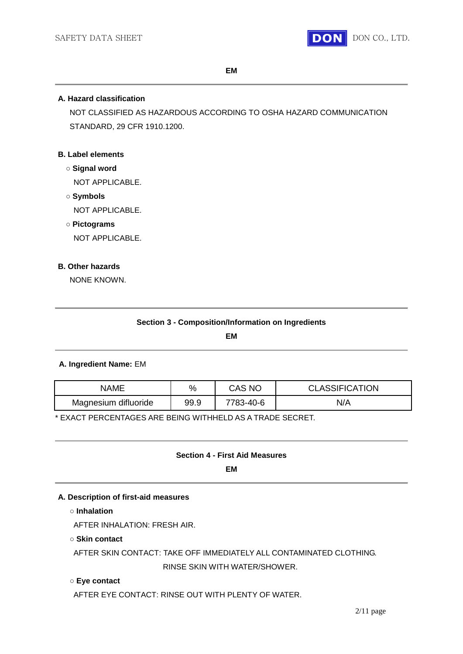

**EM**

#### **A. Hazard classification**

NOT CLASSIFIED AS HAZARDOUS ACCORDING TO OSHA HAZARD COMMUNICATION STANDARD, 29 CFR 1910.1200.

#### **B. Label elements**

- **○ Signal word** NOT APPLICABLE.
- **○ Symbols** NOT APPLICABLE.
- **○ Pictograms**

NOT APPLICABLE.

## **B. Other hazards**

NONE KNOWN.

**EM**

## **A. Ingredient Name:** EM

| NAME                 | %    | CAS NO    | <b>CLASSIFICATION</b> |
|----------------------|------|-----------|-----------------------|
| Magnesium difluoride | 99.9 | 7783-40-6 | N/A                   |

\* EXACT PERCENTAGES ARE BEING WITHHELD AS A TRADE SECRET.

## **Section 4 - First Aid Measures**

**EM**

#### **A. Description of first-aid measures**

**○ Inhalation**

AFTER INHALATION: FRESH AIR.

#### **○ Skin contact**

AFTER SKIN CONTACT: TAKE OFF IMMEDIATELY ALL CONTAMINATED CLOTHING. RINSE SKIN WITH WATER/SHOWER.

#### **○ Eye contact**

AFTER EYE CONTACT: RINSE OUT WITH PLENTY OF WATER.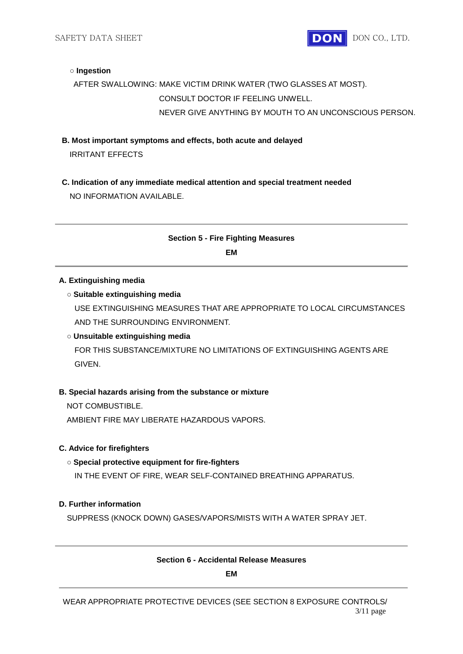SAFETY DATA SHEET **DON** DON CO., LTD.

#### **○ Ingestion**

## AFTER SWALLOWING: MAKE VICTIM DRINK WATER (TWO GLASSES AT MOST). CONSULT DOCTOR IF FEELING UNWELL. NEVER GIVE ANYTHING BY MOUTH TO AN UNCONSCIOUS PERSON.

- **B. Most important symptoms and effects, both acute and delayed** IRRITANT EFFECTS
- **C. Indication of any immediate medical attention and special treatment needed** NO INFORMATION AVAILABLE.

## **Section 5 - Fire Fighting Measures**

**EM**

#### **A. Extinguishing media**

#### **○ Suitable extinguishing media**

USE EXTINGUISHING MEASURES THAT ARE APPROPRIATE TO LOCAL CIRCUMSTANCES AND THE SURROUNDING ENVIRONMENT.

#### **○ Unsuitable extinguishing media**

FOR THIS SUBSTANCE/MIXTURE NO LIMITATIONS OF EXTINGUISHING AGENTS ARE GIVEN.

#### **B. Special hazards arising from the substance or mixture**

NOT COMBUSTIBLE.

AMBIENT FIRE MAY LIBERATE HAZARDOUS VAPORS.

#### **C. Advice for firefighters**

#### **○ Special protective equipment for fire-fighters**

IN THE EVENT OF FIRE, WEAR SELF-CONTAINED BREATHING APPARATUS.

#### **D. Further information**

SUPPRESS (KNOCK DOWN) GASES/VAPORS/MISTS WITH A WATER SPRAY JET.

#### **Section 6 - Accidental Release Measures**

**EM**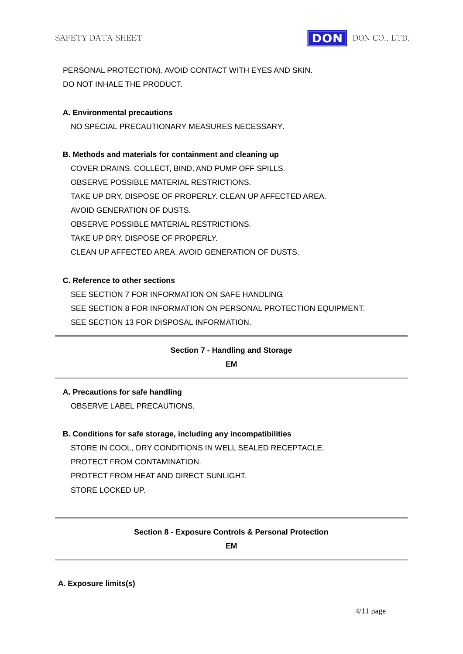

PERSONAL PROTECTION). AVOID CONTACT WITH EYES AND SKIN. DO NOT INHALE THE PRODUCT.

#### **A. Environmental precautions**

NO SPECIAL PRECAUTIONARY MEASURES NECESSARY.

#### **B. Methods and materials for containment and cleaning up**

COVER DRAINS. COLLECT, BIND, AND PUMP OFF SPILLS. OBSERVE POSSIBLE MATERIAL RESTRICTIONS. TAKE UP DRY. DISPOSE OF PROPERLY. CLEAN UP AFFECTED AREA. AVOID GENERATION OF DUSTS. OBSERVE POSSIBLE MATERIAL RESTRICTIONS. TAKE UP DRY. DISPOSE OF PROPERLY. CLEAN UP AFFECTED AREA. AVOID GENERATION OF DUSTS.

#### **C. Reference to other sections**

SEE SECTION 7 FOR INFORMATION ON SAFE HANDLING. SEE SECTION 8 FOR INFORMATION ON PERSONAL PROTECTION EQUIPMENT. SEE SECTION 13 FOR DISPOSAL INFORMATION.

## **Section 7 - Handling and Storage**

**EM**

## **A. Precautions for safe handling**

OBSERVE LABEL PRECAUTIONS.

## **B. Conditions for safe storage, including any incompatibilities**

STORE IN COOL, DRY CONDITIONS IN WELL SEALED RECEPTACLE. PROTECT FROM CONTAMINATION. PROTECT FROM HEAT AND DIRECT SUNLIGHT. STORE LOCKED UP.

#### **Section 8 - Exposure Controls & Personal Protection**

**EM**

#### **A. Exposure limits(s)**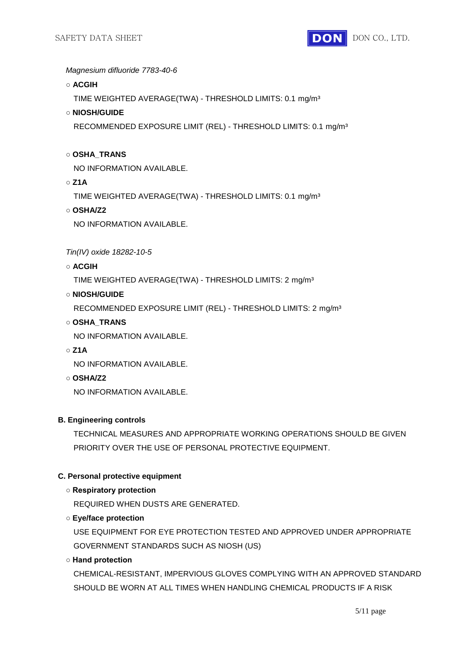

*Magnesium difluoride 7783-40-6*

**○ ACGIH**

TIME WEIGHTED AVERAGE(TWA) - THRESHOLD LIMITS: 0.1 mg/m³

**○ NIOSH/GUIDE**

RECOMMENDED EXPOSURE LIMIT (REL) - THRESHOLD LIMITS: 0.1 mg/m³

#### **○ OSHA\_TRANS**

NO INFORMATION AVAILABLE.

**○ Z1A**

TIME WEIGHTED AVERAGE(TWA) - THRESHOLD LIMITS: 0.1 mg/m³

**○ OSHA/Z2**

NO INFORMATION AVAILABLE.

*Tin(IV) oxide 18282-10-5*

**○ ACGIH**

TIME WEIGHTED AVERAGE(TWA) - THRESHOLD LIMITS: 2 mg/m³

#### **○ NIOSH/GUIDE**

RECOMMENDED EXPOSURE LIMIT (REL) - THRESHOLD LIMITS: 2 mg/m³

**○ OSHA\_TRANS**

NO INFORMATION AVAILABLE.

**○ Z1A**

NO INFORMATION AVAILABLE.

**○ OSHA/Z2**

NO INFORMATION AVAILABLE.

#### **B. Engineering controls**

TECHNICAL MEASURES AND APPROPRIATE WORKING OPERATIONS SHOULD BE GIVEN PRIORITY OVER THE USE OF PERSONAL PROTECTIVE EQUIPMENT.

## **C. Personal protective equipment**

## **○ Respiratory protection**

REQUIRED WHEN DUSTS ARE GENERATED.

## **○ Eye/face protection**

USE EQUIPMENT FOR EYE PROTECTION TESTED AND APPROVED UNDER APPROPRIATE GOVERNMENT STANDARDS SUCH AS NIOSH (US)

## **○ Hand protection**

CHEMICAL-RESISTANT, IMPERVIOUS GLOVES COMPLYING WITH AN APPROVED STANDARD SHOULD BE WORN AT ALL TIMES WHEN HANDLING CHEMICAL PRODUCTS IF A RISK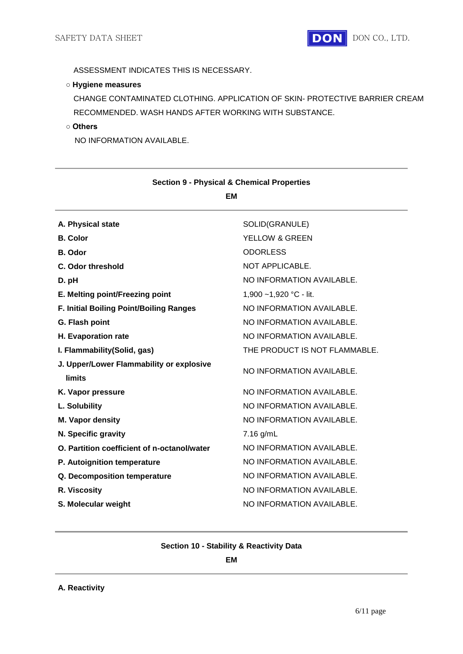#### **○ Hygiene measures**

CHANGE CONTAMINATED CLOTHING. APPLICATION OF SKIN- PROTECTIVE BARRIER CREAM RECOMMENDED. WASH HANDS AFTER WORKING WITH SUBSTANCE.

#### **○ Others**

NO INFORMATION AVAILABLE.

| SOLID(GRANULE)                |  |  |  |
|-------------------------------|--|--|--|
| <b>YELLOW &amp; GREEN</b>     |  |  |  |
| <b>ODORLESS</b>               |  |  |  |
| NOT APPLICABLE.               |  |  |  |
| NO INFORMATION AVAILABLE.     |  |  |  |
| 1,900 ~1,920 °C - lit.        |  |  |  |
| NO INFORMATION AVAILABLE.     |  |  |  |
| NO INFORMATION AVAILABLE.     |  |  |  |
| NO INFORMATION AVAILABLE.     |  |  |  |
| THE PRODUCT IS NOT FLAMMABLE. |  |  |  |
| NO INFORMATION AVAILABLE.     |  |  |  |
| NO INFORMATION AVAILABLE.     |  |  |  |
| NO INFORMATION AVAILABLE.     |  |  |  |
| NO INFORMATION AVAILABLE.     |  |  |  |
| $7.16$ g/mL                   |  |  |  |
| NO INFORMATION AVAILABLE.     |  |  |  |
| NO INFORMATION AVAILABLE.     |  |  |  |
| NO INFORMATION AVAILABLE.     |  |  |  |
| NO INFORMATION AVAILABLE.     |  |  |  |
| NO INFORMATION AVAILABLE.     |  |  |  |
|                               |  |  |  |

#### **Section 9 - Physical & Chemical Properties EM**

#### **Section 10 - Stability & Reactivity Data**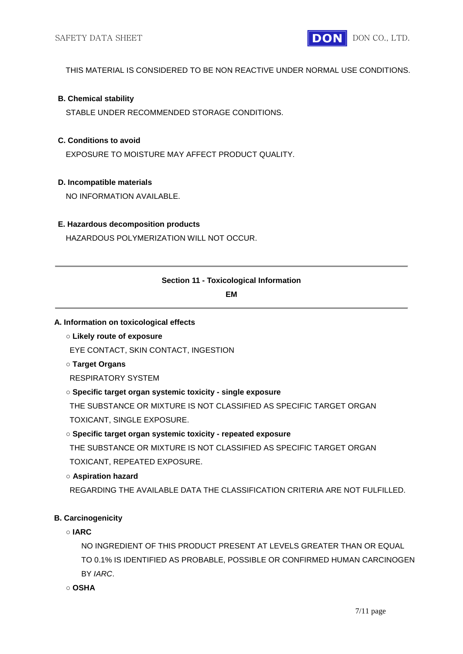

THIS MATERIAL IS CONSIDERED TO BE NON REACTIVE UNDER NORMAL USE CONDITIONS.

#### **B. Chemical stability**

STABLE UNDER RECOMMENDED STORAGE CONDITIONS.

#### **C. Conditions to avoid**

EXPOSURE TO MOISTURE MAY AFFECT PRODUCT QUALITY.

#### **D. Incompatible materials**

NO INFORMATION AVAILABLE.

#### **E. Hazardous decomposition products**

HAZARDOUS POLYMERIZATION WILL NOT OCCUR.

## **Section 11 - Toxicological Information**

**EM**

#### **A. Information on toxicological effects**

## **○ Likely route of exposure**

EYE CONTACT, SKIN CONTACT, INGESTION

## **○ Target Organs**

RESPIRATORY SYSTEM

#### **○ Specific target organ systemic toxicity - single exposure**

THE SUBSTANCE OR MIXTURE IS NOT CLASSIFIED AS SPECIFIC TARGET ORGAN TOXICANT, SINGLE EXPOSURE.

## **○ Specific target organ systemic toxicity - repeated exposure**

THE SUBSTANCE OR MIXTURE IS NOT CLASSIFIED AS SPECIFIC TARGET ORGAN TOXICANT, REPEATED EXPOSURE.

## **○ Aspiration hazard**

REGARDING THE AVAILABLE DATA THE CLASSIFICATION CRITERIA ARE NOT FULFILLED.

## **B. Carcinogenicity**

**○ IARC**

NO INGREDIENT OF THIS PRODUCT PRESENT AT LEVELS GREATER THAN OR EQUAL TO 0.1% IS IDENTIFIED AS PROBABLE, POSSIBLE OR CONFIRMED HUMAN CARCINOGEN BY *IARC*.

**○ OSHA**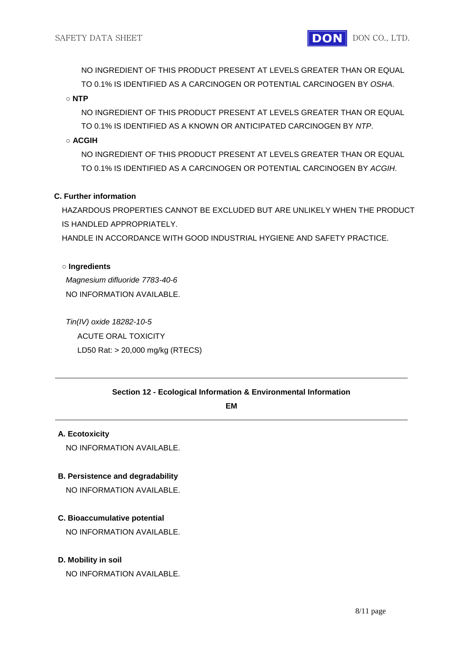NO INGREDIENT OF THIS PRODUCT PRESENT AT LEVELS GREATER THAN OR EQUAL TO 0.1% IS IDENTIFIED AS A CARCINOGEN OR POTENTIAL CARCINOGEN BY *OSHA*.

#### **○ NTP**

NO INGREDIENT OF THIS PRODUCT PRESENT AT LEVELS GREATER THAN OR EQUAL TO 0.1% IS IDENTIFIED AS A KNOWN OR ANTICIPATED CARCINOGEN BY *NTP*.

## **○ ACGIH**

NO INGREDIENT OF THIS PRODUCT PRESENT AT LEVELS GREATER THAN OR EQUAL TO 0.1% IS IDENTIFIED AS A CARCINOGEN OR POTENTIAL CARCINOGEN BY *ACGIH*.

#### **C. Further information**

HAZARDOUS PROPERTIES CANNOT BE EXCLUDED BUT ARE UNLIKELY WHEN THE PRODUCT IS HANDLED APPROPRIATELY.

HANDLE IN ACCORDANCE WITH GOOD INDUSTRIAL HYGIENE AND SAFETY PRACTICE.

#### **○ Ingredients**

*Magnesium difluoride 7783-40-6* NO INFORMATION AVAILABLE.

*Tin(IV) oxide 18282-10-5* ACUTE ORAL TOXICITY LD50 Rat: > 20,000 mg/kg (RTECS)

#### **Section 12 - Ecological Information & Environmental Information**

#### **EM**

#### **A. Ecotoxicity**

NO INFORMATION AVAILABLE.

#### **B. Persistence and degradability**

NO INFORMATION AVAILABLE.

#### **C. Bioaccumulative potential**

NO INFORMATION AVAILABLE.

#### **D. Mobility in soil**

NO INFORMATION AVAILABLE.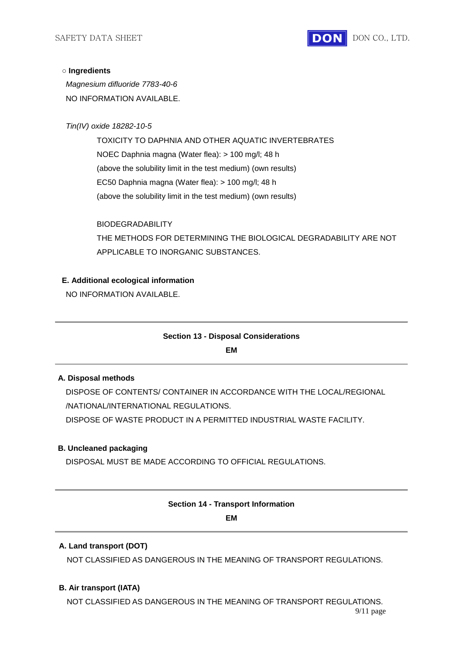

#### **○ Ingredients**

*Magnesium difluoride 7783-40-6* NO INFORMATION AVAILABLE.

*Tin(IV) oxide 18282-10-5*

TOXICITY TO DAPHNIA AND OTHER AQUATIC INVERTEBRATES NOEC Daphnia magna (Water flea): > 100 mg/l; 48 h (above the solubility limit in the test medium) (own results) EC50 Daphnia magna (Water flea): > 100 mg/l; 48 h (above the solubility limit in the test medium) (own results)

BIODEGRADABILITY

THE METHODS FOR DETERMINING THE BIOLOGICAL DEGRADABILITY ARE NOT APPLICABLE TO INORGANIC SUBSTANCES.

#### **E. Additional ecological information**

NO INFORMATION AVAILABLE.

#### **Section 13 - Disposal Considerations**

**EM**

#### **A. Disposal methods**

DISPOSE OF CONTENTS/ CONTAINER IN ACCORDANCE WITH THE LOCAL/REGIONAL /NATIONAL/INTERNATIONAL REGULATIONS.

DISPOSE OF WASTE PRODUCT IN A PERMITTED INDUSTRIAL WASTE FACILITY.

## **B. Uncleaned packaging**

DISPOSAL MUST BE MADE ACCORDING TO OFFICIAL REGULATIONS.

# **Section 14 - Transport Information**

#### **EM**

#### **A. Land transport (DOT)**

NOT CLASSIFIED AS DANGEROUS IN THE MEANING OF TRANSPORT REGULATIONS.

#### **B. Air transport (IATA)**

NOT CLASSIFIED AS DANGEROUS IN THE MEANING OF TRANSPORT REGULATIONS.

9/11 page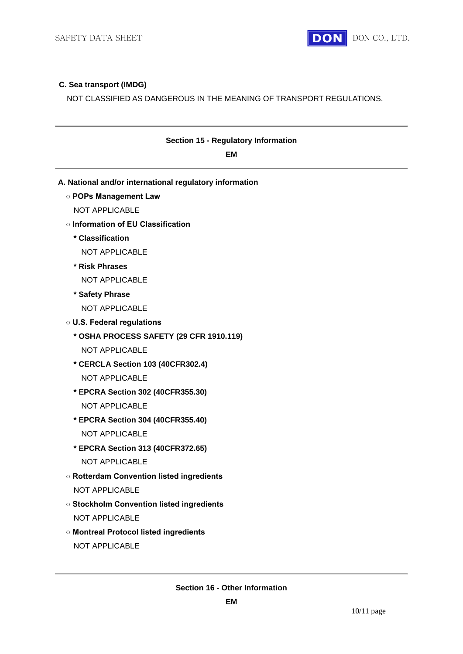

## **C. Sea transport (IMDG)**

NOT CLASSIFIED AS DANGEROUS IN THE MEANING OF TRANSPORT REGULATIONS.

| <b>Section 15 - Regulatory Information</b><br><b>EM</b> |  |  |
|---------------------------------------------------------|--|--|
| A. National and/or international regulatory information |  |  |
| <b>O POPs Management Law</b>                            |  |  |
| <b>NOT APPLICABLE</b>                                   |  |  |
| o Information of EU Classification                      |  |  |
| * Classification                                        |  |  |
| <b>NOT APPLICABLE</b>                                   |  |  |
| * Risk Phrases                                          |  |  |
| <b>NOT APPLICABLE</b>                                   |  |  |
| * Safety Phrase                                         |  |  |
| <b>NOT APPLICABLE</b>                                   |  |  |
| <b>O U.S. Federal regulations</b>                       |  |  |
| * OSHA PROCESS SAFETY (29 CFR 1910.119)                 |  |  |
| <b>NOT APPLICABLE</b>                                   |  |  |
| * CERCLA Section 103 (40CFR302.4)                       |  |  |
| <b>NOT APPLICABLE</b>                                   |  |  |
| * EPCRA Section 302 (40CFR355.30)                       |  |  |
| <b>NOT APPLICABLE</b>                                   |  |  |
| * EPCRA Section 304 (40CFR355.40)                       |  |  |
| <b>NOT APPLICABLE</b>                                   |  |  |
| * EPCRA Section 313 (40CFR372.65)                       |  |  |
| <b>NOT APPLICABLE</b>                                   |  |  |
| <b>O Rotterdam Convention listed ingredients</b>        |  |  |
| NOT APPLICABLE                                          |  |  |
| <b>o Stockholm Convention listed ingredients</b>        |  |  |
| NOT APPLICABLE                                          |  |  |
| <b>o Montreal Protocol listed ingredients</b>           |  |  |

NOT APPLICABLE